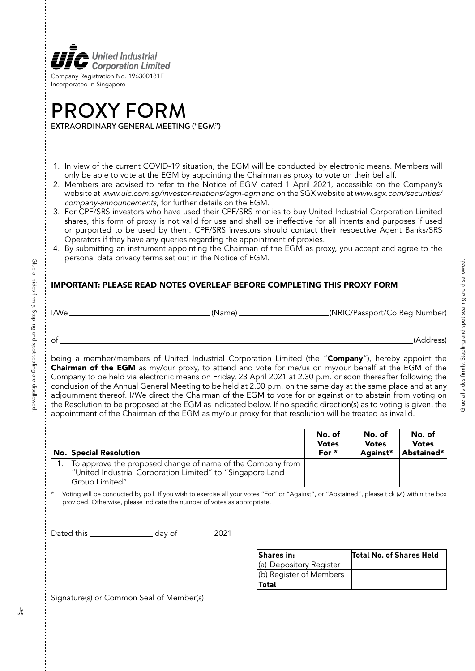

## PROXY FORM EXTRAORDINARY GENERAL MEETING ("EGM")

1. In view of the current COVID-19 situation, the EGM will be conducted by electronic means. Members will only be able to vote at the EGM by appointing the Chairman as proxy to vote on their behalf.

- 2. Members are advised to refer to the Notice of EGM dated 1 April 2021, accessible on the Company's website at www.uic.com.sg/investor-relations/agm-egm and on the SGX website at www.sgx.com/securities/ company-announcements, for further details on the EGM.
- 3. For CPF/SRS investors who have used their CPF/SRS monies to buy United Industrial Corporation Limited shares, this form of proxy is not valid for use and shall be ineffective for all intents and purposes if used or purported to be used by them. CPF/SRS investors should contact their respective Agent Banks/SRS Operators if they have any queries regarding the appointment of proxies.
- 4. By submitting an instrument appointing the Chairman of the EGM as proxy, you accept and agree to the personal data privacy terms set out in the Notice of EGM.

## IMPORTANT: PLEASE READ NOTES OVERLEAF BEFORE COMPLETING THIS PROXY FORM

I/We (Name) (NRIC/Passport/Co Reg Number)

Glue all sides firmly. Stapling and spot sealing are disallowed.

Giue all sides tirmly. Stapling and spot sealing are disallowec

of (Address)

being a member/members of United Industrial Corporation Limited (the "Company"), hereby appoint the Chairman of the EGM as my/our proxy, to attend and vote for me/us on my/our behalf at the EGM of the Company to be held via electronic means on Friday, 23 April 2021 at 2.30 p.m. or soon thereafter following the conclusion of the Annual General Meeting to be held at 2.00 p.m. on the same day at the same place and at any adjournment thereof. I/We direct the Chairman of the EGM to vote for or against or to abstain from voting on the Resolution to be proposed at the EGM as indicated below. If no specific direction(s) as to voting is given, the appointment of the Chairman of the EGM as my/our proxy for that resolution will be treated as invalid.

| No. Special Resolution                                                                                                                           | No. of<br><b>Votes</b><br>For * | No. of<br><b>Votes</b><br>Against* | No. of<br><b>Votes</b><br>Abstained* |
|--------------------------------------------------------------------------------------------------------------------------------------------------|---------------------------------|------------------------------------|--------------------------------------|
| 1. To approve the proposed change of name of the Company from<br>  "United Industrial Corporation Limited" to "Singapore Land<br>Group Limited". |                                 |                                    |                                      |

Voting will be conducted by poll. If you wish to exercise all your votes "For" or "Against", or "Abstained", please tick (v) within the box provided. Otherwise, please indicate the number of votes as appropriate.

Dated this \_\_\_\_\_\_\_\_\_\_\_\_\_\_\_\_\_\_\_\_ day of \_\_\_\_\_\_\_\_\_\_\_\_\_\_2021

| Shares in:              | Total No. of Shares Held |
|-------------------------|--------------------------|
| (a) Depository Register |                          |
| (b) Register of Members |                          |
| <b>Total</b>            |                          |

Signature(s) or Common Seal of Member(s)